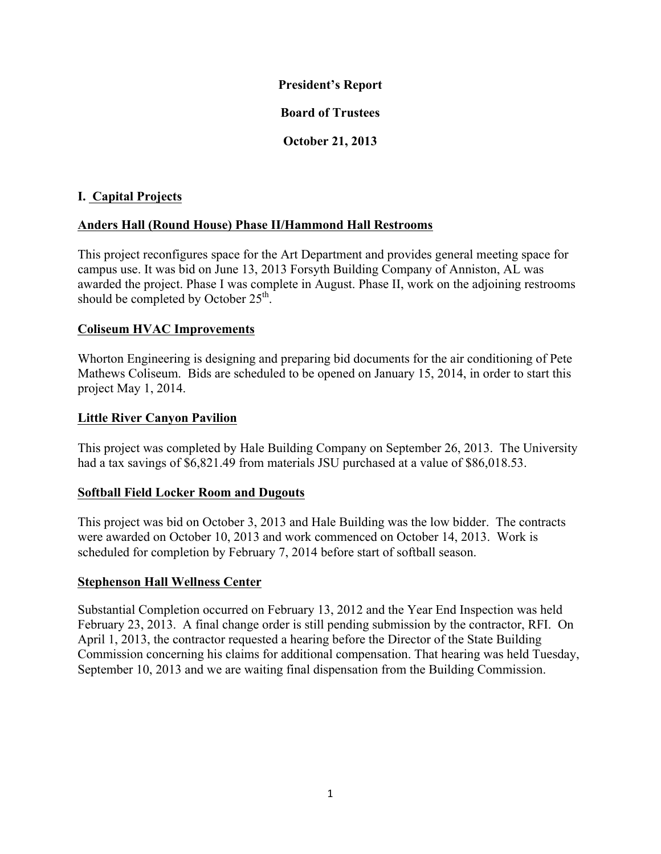#### **President's Report**

# **Board of Trustees**

# **October 21, 2013**

## **I. Capital Projects**

## **Anders Hall (Round House) Phase II/Hammond Hall Restrooms**

This project reconfigures space for the Art Department and provides general meeting space for campus use. It was bid on June 13, 2013 Forsyth Building Company of Anniston, AL was awarded the project. Phase I was complete in August. Phase II, work on the adjoining restrooms should be completed by October  $25<sup>th</sup>$ .

#### **Coliseum HVAC Improvements**

Whorton Engineering is designing and preparing bid documents for the air conditioning of Pete Mathews Coliseum. Bids are scheduled to be opened on January 15, 2014, in order to start this project May 1, 2014.

#### **Little River Canyon Pavilion**

This project was completed by Hale Building Company on September 26, 2013. The University had a tax savings of \$6,821.49 from materials JSU purchased at a value of \$86,018.53.

#### **Softball Field Locker Room and Dugouts**

This project was bid on October 3, 2013 and Hale Building was the low bidder. The contracts were awarded on October 10, 2013 and work commenced on October 14, 2013. Work is scheduled for completion by February 7, 2014 before start of softball season.

#### **Stephenson Hall Wellness Center**

Substantial Completion occurred on February 13, 2012 and the Year End Inspection was held February 23, 2013. A final change order is still pending submission by the contractor, RFI. On April 1, 2013, the contractor requested a hearing before the Director of the State Building Commission concerning his claims for additional compensation. That hearing was held Tuesday, September 10, 2013 and we are waiting final dispensation from the Building Commission.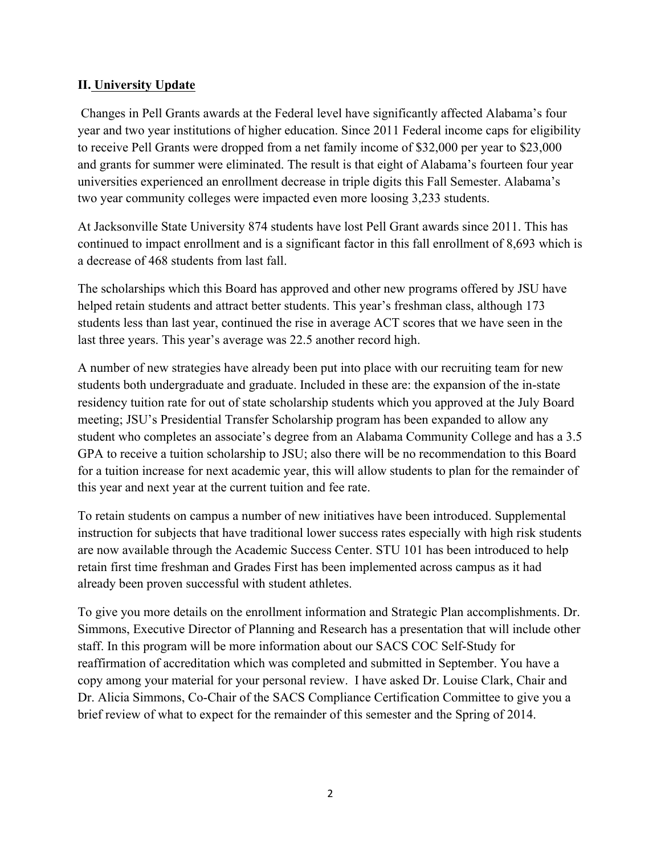#### **II. University Update**

Changes in Pell Grants awards at the Federal level have significantly affected Alabama's four year and two year institutions of higher education. Since 2011 Federal income caps for eligibility to receive Pell Grants were dropped from a net family income of \$32,000 per year to \$23,000 and grants for summer were eliminated. The result is that eight of Alabama's fourteen four year universities experienced an enrollment decrease in triple digits this Fall Semester. Alabama's two year community colleges were impacted even more loosing 3,233 students.

At Jacksonville State University 874 students have lost Pell Grant awards since 2011. This has continued to impact enrollment and is a significant factor in this fall enrollment of 8,693 which is a decrease of 468 students from last fall.

The scholarships which this Board has approved and other new programs offered by JSU have helped retain students and attract better students. This year's freshman class, although 173 students less than last year, continued the rise in average ACT scores that we have seen in the last three years. This year's average was 22.5 another record high.

A number of new strategies have already been put into place with our recruiting team for new students both undergraduate and graduate. Included in these are: the expansion of the in-state residency tuition rate for out of state scholarship students which you approved at the July Board meeting; JSU's Presidential Transfer Scholarship program has been expanded to allow any student who completes an associate's degree from an Alabama Community College and has a 3.5 GPA to receive a tuition scholarship to JSU; also there will be no recommendation to this Board for a tuition increase for next academic year, this will allow students to plan for the remainder of this year and next year at the current tuition and fee rate.

To retain students on campus a number of new initiatives have been introduced. Supplemental instruction for subjects that have traditional lower success rates especially with high risk students are now available through the Academic Success Center. STU 101 has been introduced to help retain first time freshman and Grades First has been implemented across campus as it had already been proven successful with student athletes.

To give you more details on the enrollment information and Strategic Plan accomplishments. Dr. Simmons, Executive Director of Planning and Research has a presentation that will include other staff. In this program will be more information about our SACS COC Self-Study for reaffirmation of accreditation which was completed and submitted in September. You have a copy among your material for your personal review. I have asked Dr. Louise Clark, Chair and Dr. Alicia Simmons, Co-Chair of the SACS Compliance Certification Committee to give you a brief review of what to expect for the remainder of this semester and the Spring of 2014.